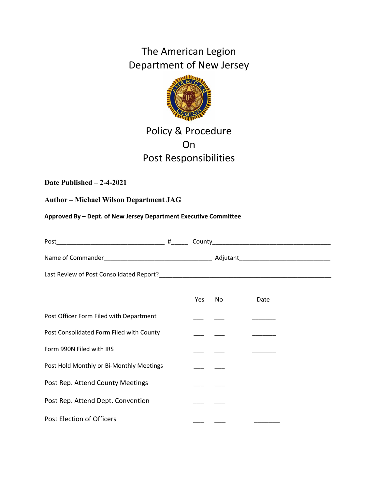The American Legion Department of New Jersey



# Policy & Procedure On Post Responsibilities

# **Date Published – 2-4-2021**

# **Author – Michael Wilson Department JAG**

**Approved By – Dept. of New Jersey Department Executive Committee**

|                                          | Yes | No l | Date |  |
|------------------------------------------|-----|------|------|--|
| Post Officer Form Filed with Department  |     |      |      |  |
| Post Consolidated Form Filed with County |     |      |      |  |
| Form 990N Filed with IRS                 |     |      |      |  |
| Post Hold Monthly or Bi-Monthly Meetings |     |      |      |  |
| Post Rep. Attend County Meetings         |     |      |      |  |
| Post Rep. Attend Dept. Convention        |     |      |      |  |
| Post Election of Officers                |     |      |      |  |